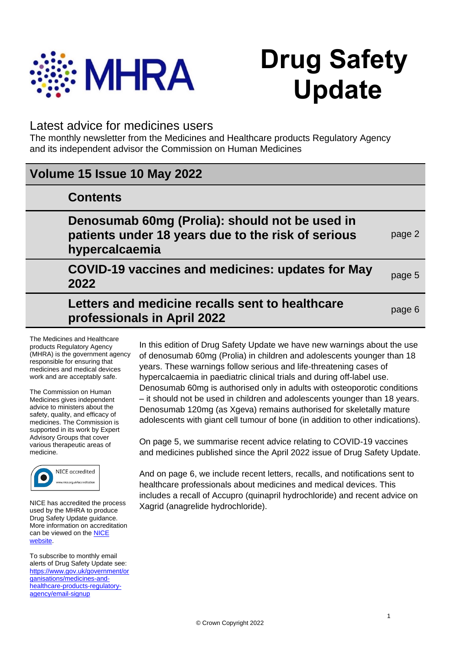

# **Drug Safety Update**

## Latest advice for medicines users

**professionals in April 2022**

The monthly newsletter from the Medicines and Healthcare products Regulatory Agency and its independent advisor the Commission on Human Medicines

| Volume 15 Issue 10 May 2022                                                                                            |        |
|------------------------------------------------------------------------------------------------------------------------|--------|
| <b>Contents</b>                                                                                                        |        |
| Denosumab 60mg (Prolia): should not be used in<br>patients under 18 years due to the risk of serious<br>hypercalcaemia | page 2 |
| <b>COVID-19 vaccines and medicines: updates for May</b><br>2022                                                        | page 5 |
| Letters and medicine recalls sent to healthcare                                                                        | page 6 |

The Medicines and Healthcare products Regulatory Agency (MHRA) is the government agency responsible for ensuring that medicines and medical devices work and are acceptably safe.

The Commission on Human Medicines gives independent advice to ministers about the safety, quality, and efficacy of medicines. The Commission is supported in its work by Expert Advisory Groups that cover various therapeutic areas of medicine.



NICE has accredited the process used by the MHRA to produce Drug Safety Update guidance. More information on accreditation can be viewed on the **NICE** [website.](http://www.nice.org.uk/about/what-we-do/accreditation) 

To subscribe to monthly email alerts of Drug Safety Update see: [https://www.gov.uk/government/or](https://www.gov.uk/government/organisations/medicines-and-healthcare-products-regulatory-agency/email-signup) [ganisations/medicines-and](https://www.gov.uk/government/organisations/medicines-and-healthcare-products-regulatory-agency/email-signup)[healthcare-products-regulatory](https://www.gov.uk/government/organisations/medicines-and-healthcare-products-regulatory-agency/email-signup)[agency/email-signup](https://www.gov.uk/government/organisations/medicines-and-healthcare-products-regulatory-agency/email-signup)

In this edition of Drug Safety Update we have new warnings about the use of denosumab 60mg (Prolia) in children and adolescents younger than 18 years. These warnings follow serious and life-threatening cases of hypercalcaemia in paediatric clinical trials and during off-label use. Denosumab 60mg is authorised only in adults with osteoporotic conditions – it should not be used in children and adolescents younger than 18 years. Denosumab 120mg (as Xgeva) remains authorised for skeletally mature adolescents with giant cell tumour of bone (in addition to other indications).

On page 5, we summarise recent advice relating to COVID-19 vaccines and medicines published since the April 2022 issue of Drug Safety Update.

And on page 6, we include recent letters, recalls, and notifications sent to healthcare professionals about medicines and medical devices. This includes a recall of Accupro (quinapril hydrochloride) and recent advice on Xagrid (anagrelide hydrochloride).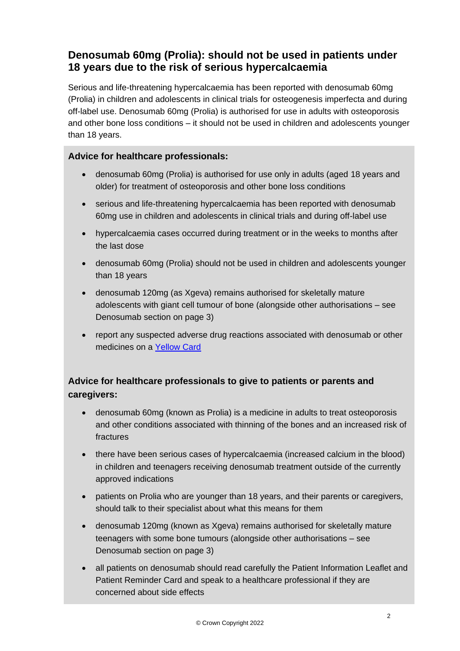# **Denosumab 60mg (Prolia): should not be used in patients under 18 years due to the risk of serious hypercalcaemia**

Serious and life-threatening hypercalcaemia has been reported with denosumab 60mg (Prolia) in children and adolescents in clinical trials for osteogenesis imperfecta and during off-label use. Denosumab 60mg (Prolia) is authorised for use in adults with osteoporosis and other bone loss conditions – it should not be used in children and adolescents younger than 18 years.

### **Advice for healthcare professionals:**

- denosumab 60mg (Prolia) is authorised for use only in adults (aged 18 years and older) for treatment of osteoporosis and other bone loss conditions
- serious and life-threatening hypercalcaemia has been reported with denosumab 60mg use in children and adolescents in clinical trials and during off-label use
- hypercalcaemia cases occurred during treatment or in the weeks to months after the last dose
- denosumab 60mg (Prolia) should not be used in children and adolescents younger than 18 years
- denosumab 120mg (as Xgeva) remains authorised for skeletally mature adolescents with giant cell tumour of bone (alongside other authorisations – see Denosumab section on page 3)
- report any suspected adverse drug reactions associated with denosumab or other medicines on a [Yellow Card](http://www.mhra.gov.uk/yellowcard)

## **Advice for healthcare professionals to give to patients or parents and caregivers:**

- denosumab 60mg (known as Prolia) is a medicine in adults to treat osteoporosis and other conditions associated with thinning of the bones and an increased risk of fractures
- there have been serious cases of hypercalcaemia (increased calcium in the blood) in children and teenagers receiving denosumab treatment outside of the currently approved indications
- patients on Prolia who are vounger than 18 years, and their parents or caregivers, should talk to their specialist about what this means for them
- denosumab 120mg (known as Xgeva) remains authorised for skeletally mature teenagers with some bone tumours (alongside other authorisations – see Denosumab section on page 3)
- all patients on denosumab should read carefully the Patient Information Leaflet and Patient Reminder Card and speak to a healthcare professional if they are concerned about side effects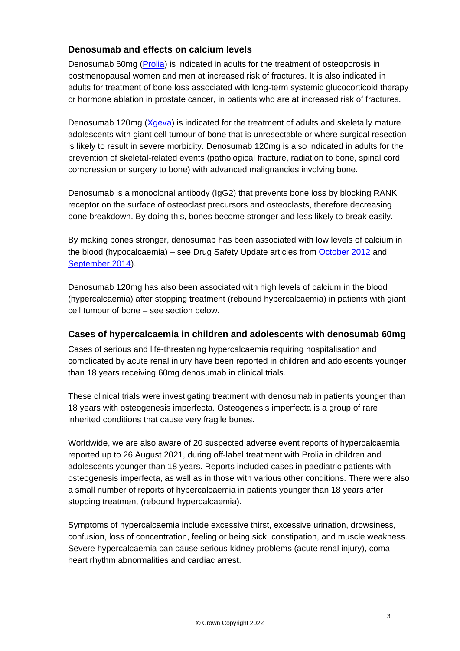## **Denosumab and effects on calcium levels**

Denosumab 60mg [\(Prolia\)](https://www.medicines.org.uk/emc/product/568/smpc) is indicated in adults for the treatment of osteoporosis in postmenopausal women and men at increased risk of fractures. It is also indicated in adults for treatment of bone loss associated with long-term systemic glucocorticoid therapy or hormone ablation in prostate cancer, in patients who are at increased risk of fractures.

Denosumab 120mg [\(Xgeva\)](https://www.medicines.org.uk/emc/product/4675/smpc) is indicated for the treatment of adults and skeletally mature adolescents with giant cell tumour of bone that is unresectable or where surgical resection is likely to result in severe morbidity. Denosumab 120mg is also indicated in adults for the prevention of skeletal-related events (pathological fracture, radiation to bone, spinal cord compression or surgery to bone) with advanced malignancies involving bone.

Denosumab is a monoclonal antibody (IgG2) that prevents bone loss by blocking RANK receptor on the surface of osteoclast precursors and osteoclasts, therefore decreasing bone breakdown. By doing this, bones become stronger and less likely to break easily.

By making bones stronger, denosumab has been associated with low levels of calcium in the blood (hypocalcaemia) – see Drug Safety Update articles from [October 2012](https://www.gov.uk/drug-safety-update/denosumab-monitoring-recommended) and [September 2014\)](https://www.gov.uk/drug-safety-update/denosumab-updated-recommendations).

Denosumab 120mg has also been associated with high levels of calcium in the blood (hypercalcaemia) after stopping treatment (rebound hypercalcaemia) in patients with giant cell tumour of bone – see section below.

### **Cases of hypercalcaemia in children and adolescents with denosumab 60mg**

Cases of serious and life-threatening hypercalcaemia requiring hospitalisation and complicated by acute renal injury have been reported in children and adolescents younger than 18 years receiving 60mg denosumab in clinical trials.

These clinical trials were investigating treatment with denosumab in patients younger than 18 years with osteogenesis imperfecta. Osteogenesis imperfecta is a group of rare inherited conditions that cause very fragile bones.

Worldwide, we are also aware of 20 suspected adverse event reports of hypercalcaemia reported up to 26 August 2021, during off-label treatment with Prolia in children and adolescents younger than 18 years. Reports included cases in paediatric patients with osteogenesis imperfecta, as well as in those with various other conditions. There were also a small number of reports of hypercalcaemia in patients younger than 18 years after stopping treatment (rebound hypercalcaemia).

Symptoms of hypercalcaemia include excessive thirst, excessive urination, drowsiness, confusion, loss of concentration, feeling or being sick, constipation, and muscle weakness. Severe hypercalcaemia can cause serious kidney problems (acute renal injury), coma, heart rhythm abnormalities and cardiac arrest.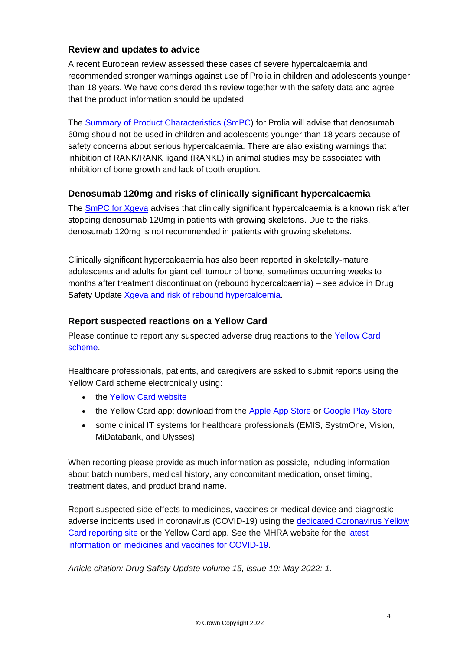## **Review and updates to advice**

A recent European review assessed these cases of severe hypercalcaemia and recommended stronger warnings against use of Prolia in children and adolescents younger than 18 years. We have considered this review together with the safety data and agree that the product information should be updated.

The [Summary of Product Characteristics \(SmPC\)](https://www.medicines.org.uk/emc/product/568/smpc) for Prolia will advise that denosumab 60mg should not be used in children and adolescents younger than 18 years because of safety concerns about serious hypercalcaemia. There are also existing warnings that inhibition of RANK/RANK ligand (RANKL) in animal studies may be associated with inhibition of bone growth and lack of tooth eruption.

## **Denosumab 120mg and risks of clinically significant hypercalcaemia**

The [SmPC for Xgeva](https://www.medicines.org.uk/emc/product/4675/smpc) advises that clinically significant hypercalcaemia is a known risk after stopping denosumab 120mg in patients with growing skeletons. Due to the risks, denosumab 120mg is not recommended in patients with growing skeletons.

Clinically significant hypercalcaemia has also been reported in skeletally-mature adolescents and adults for giant cell tumour of bone, sometimes occurring weeks to months after treatment discontinuation (rebound hypercalcaemia) – see advice in Drug Safety Update [Xgeva and risk of rebound hypercalcemia.](https://www.gov.uk/drug-safety-update/denosumab-xgeva-for-giant-cell-tumour-of-bone-risk-of-clinically-significant-hypercalcaemia-following-discontinuation)

## **Report suspected reactions on a Yellow Card**

Please continue to report any suspected adverse drug reactions to the [Yellow Card](https://yellowcard.mhra.gov.uk/)  [scheme.](https://yellowcard.mhra.gov.uk/)

Healthcare professionals, patients, and caregivers are asked to submit reports using the Yellow Card scheme electronically using:

- the [Yellow Card website](https://yellowcard.mhra.gov.uk/)
- the Yellow Card app; download from the [Apple App Store](https://itunes.apple.com/us/app/apple-store/id990237487?pt=117756671&ct=EYC&mt=8) or [Google Play Store](https://play.google.com/store/apps/details?id=uk.org.mhra.yellowcard&referrer=utm_source%3DEYC%26utm_medium%3Dcpc%26anid%3Dadmob)
- some clinical IT systems for healthcare professionals (EMIS, SystmOne, Vision, MiDatabank, and Ulysses)

When reporting please provide as much information as possible, including information about batch numbers, medical history, any concomitant medication, onset timing, treatment dates, and product brand name.

Report suspected side effects to medicines, vaccines or medical device and diagnostic adverse incidents used in coronavirus (COVID-19) using the [dedicated Coronavirus Yellow](https://coronavirus-yellowcard.mhra.gov.uk/)  [Card reporting site](https://coronavirus-yellowcard.mhra.gov.uk/) or the Yellow Card app. See the MHRA website for the [latest](https://www.gov.uk/government/collections/mhra-guidance-on-coronavirus-covid-19)  [information on medicines and vaccines for COVID-19.](https://www.gov.uk/government/collections/mhra-guidance-on-coronavirus-covid-19)

*Article citation: Drug Safety Update volume 15, issue 10: May 2022: 1.*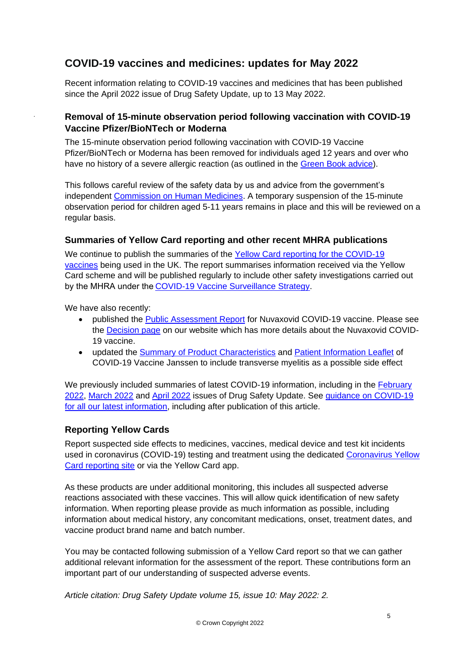# **COVID-19 vaccines and medicines: updates for May 2022**

Recent information relating to COVID-19 vaccines and medicines that has been published since the April 2022 issue of Drug Safety Update, up to 13 May 2022.

## **Removal of 15-minute observation period following vaccination with COVID-19 Vaccine Pfizer/BioNTech or Moderna**

The 15-minute observation period following vaccination with COVID-19 Vaccine Pfizer/BioNTech or Moderna has been removed for individuals aged 12 years and over who have no history of a severe allergic reaction (as outlined in the [Green Book advice\)](https://assets.publishing.service.gov.uk/government/uploads/system/uploads/attachment_data/file/1057798/Greenbook-chapter-14a-28Feb22.pdf).

This follows careful review of the safety data by us and advice from the government's independent [Commission on Human Medicines.](https://www.gov.uk/government/organisations/commission-on-human-medicines) A temporary suspension of the 15-minute observation period for children aged 5-11 years remains in place and this will be reviewed on a regular basis.

### **Summaries of Yellow Card reporting and other recent MHRA publications**

We continue to publish the summaries of the Yellow Card reporting for the COVID-19 [vaccines](https://www.gov.uk/government/publications/coronavirus-covid-19-vaccine-adverse-reactions/coronavirus-vaccine-summary-of-yellow-card-reporting) being used in the UK. The report summarises information received via the Yellow Card scheme and will be published regularly to include other safety investigations carried out by the MHRA under the COVID-19 Vaccine Surveillance Strategy.

We have also recently:

.

- published the Public [Assessment Report](https://assets.publishing.service.gov.uk/government/uploads/system/uploads/attachment_data/file/1071576/Nuvaxovid_final_PAR_PLGB_54180_0002.pdf) for Nuvaxovid COVID-19 vaccine. Please see the [Decision page](https://www.gov.uk/government/publications/regulatory-approval-of-covid-19-vaccine-nuvaxovid) on our website which has more details about the Nuvaxovid COVID-19 vaccine.
- updated the [Summary of Product Characteristics](https://www.gov.uk/government/publications/regulatory-approval-of-covid-19-vaccine-janssen/summary-of-product-characteristics-for-covid-19-vaccine-janssen) and [Patient Information Leaflet](https://www.gov.uk/government/publications/regulatory-approval-of-covid-19-vaccine-janssen/patient-information-leaflet-for-covid-19-vaccine-janssen) of COVID-19 Vaccine Janssen to include transverse myelitis as a possible side effect

We previously included summaries of latest COVID-19 information, including in the February [2022,](https://www.gov.uk/drug-safety-update/covid-19-vaccines-and-medicines-updates-for-february-2022) [March 2022](https://www.gov.uk/drug-safety-update/covid-19-vaccines-and-medicines-updates-for-march-2022) and [April 2022](https://www.gov.uk/drug-safety-update/covid-19-vaccines-and-medicines-updates-for-april-2022) issues of Drug Safety Update. See guidance [on COVID-19](https://www.gov.uk/government/collections/mhra-guidance-on-coronavirus-covid-19)  [for all our latest information,](https://www.gov.uk/government/collections/mhra-guidance-on-coronavirus-covid-19) including after publication of this article.

### **Reporting Yellow Cards**

Report suspected side effects to medicines, vaccines, medical device and test kit incidents used in coronavirus (COVID-19) testing and treatment using the dedicated [Coronavirus Yellow](https://coronavirus-yellowcard.mhra.gov.uk/)  [Card reporting site](https://coronavirus-yellowcard.mhra.gov.uk/) or via the Yellow Card app.

As these products are under additional monitoring, this includes all suspected adverse reactions associated with these vaccines. This will allow quick identification of new safety information. When reporting please provide as much information as possible, including information about medical history, any concomitant medications, onset, treatment dates, and vaccine product brand name and batch number.

You may be contacted following submission of a Yellow Card report so that we can gather additional relevant information for the assessment of the report. These contributions form an important part of our understanding of suspected adverse events.

*Article citation: Drug Safety Update volume 15, issue 10: May 2022: 2.*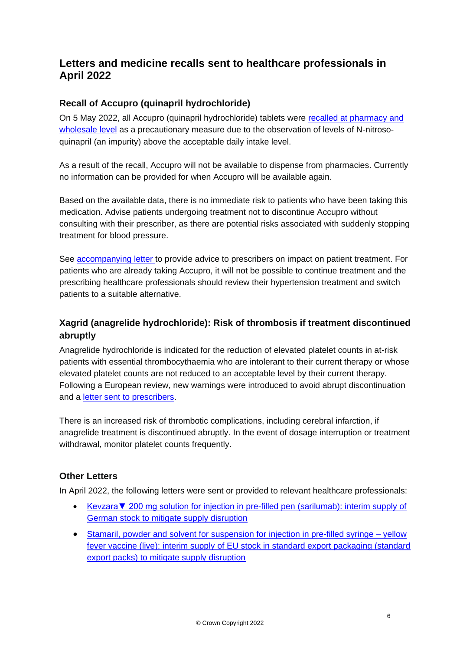# **Letters and medicine recalls sent to healthcare professionals in April 2022**

## **Recall of Accupro (quinapril hydrochloride)**

On 5 May 2022, all Accupro (quinapril hydrochloride) tablets were [recalled at pharmacy and](https://www.gov.uk/drug-device-alerts/class-2-medicines-recall-pfizer-limited-accupro-5mg-10mg-20mg-40mg-film-coated-tablets-el-22-a-slash-21)  [wholesale level](https://www.gov.uk/drug-device-alerts/class-2-medicines-recall-pfizer-limited-accupro-5mg-10mg-20mg-40mg-film-coated-tablets-el-22-a-slash-21) as a precautionary measure due to the observation of levels of N-nitrosoquinapril (an impurity) above the acceptable daily intake level.

As a result of the recall, Accupro will not be available to dispense from pharmacies. Currently no information can be provided for when Accupro will be available again.

Based on the available data, there is no immediate risk to patients who have been taking this medication. Advise patients undergoing treatment not to discontinue Accupro without consulting with their prescriber, as there are potential risks associated with suddenly stopping treatment for blood pressure.

See [accompanying letter](https://assets.publishing.service.gov.uk/media/62723d348fa8f57a3d1218de/ACCUPRO_Product_Recall_Dear_HCP_Communication.pdf) to provide advice to prescribers on impact on patient treatment. For patients who are already taking Accupro, it will not be possible to continue treatment and the prescribing healthcare professionals should review their hypertension treatment and switch patients to a suitable alternative.

## **Xagrid (anagrelide hydrochloride): Risk of thrombosis if treatment discontinued abruptly**

Anagrelide hydrochloride is indicated for the reduction of elevated platelet counts in at-risk patients with essential thrombocythaemia who are intolerant to their current therapy or whose elevated platelet counts are not reduced to an acceptable level by their current therapy. Following a European review, new warnings were introduced to avoid abrupt discontinuation and a [letter sent to prescribers.](https://assets.publishing.service.gov.uk/media/6282586dd3bf7f1f3f055539/Xagrid_-DHCP_letter_UK_-_signed.pdf)

There is an increased risk of thrombotic complications, including cerebral infarction, if anagrelide treatment is discontinued abruptly. In the event of dosage interruption or treatment withdrawal, monitor platelet counts frequently.

## **Other Letters**

In April 2022, the following letters were sent or provided to relevant healthcare professionals:

- [Kevzara▼ 200 mg solution for injection in pre-filled pen \(sarilumab\): interim supply of](https://assets.publishing.service.gov.uk/media/628258cfd3bf7f1f422c87a4/Kevzara_DHPC_-_Batch_1F157A_Final.pdf)  [German stock to mitigate supply disruption](https://assets.publishing.service.gov.uk/media/628258cfd3bf7f1f422c87a4/Kevzara_DHPC_-_Batch_1F157A_Final.pdf)
- [Stamaril, powder and solvent for suspension for](https://assets.publishing.service.gov.uk/media/628258fc8fa8f55623a58a90/Stamaril_DHPC_letter_-_EU_stock_April_2022.pdf) injection in pre-filled syringe yellow [fever vaccine \(live\): interim supply of EU stock in standard export packaging \(standard](https://assets.publishing.service.gov.uk/media/628258fc8fa8f55623a58a90/Stamaril_DHPC_letter_-_EU_stock_April_2022.pdf)  [export packs\) to mitigate supply disruption](https://assets.publishing.service.gov.uk/media/628258fc8fa8f55623a58a90/Stamaril_DHPC_letter_-_EU_stock_April_2022.pdf)